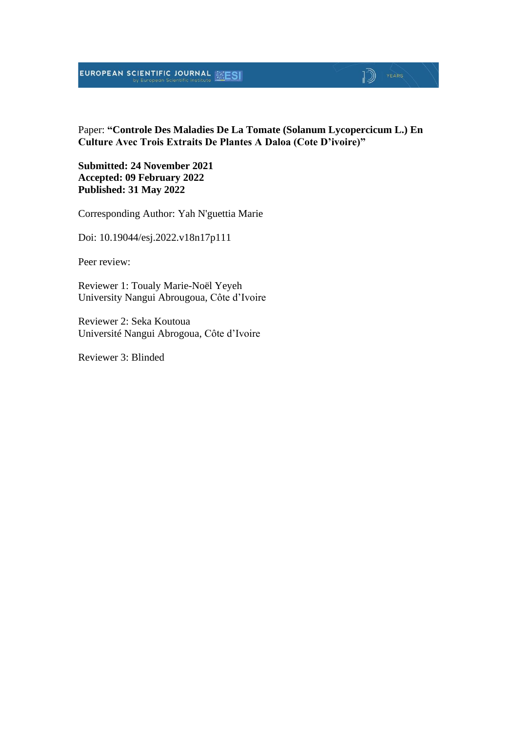### **EUROPEAN SCIENTIFIC JOURNAL EXESI**

### $\mathbb{D}$   $\mathbb{P}$   $\mathbb{P}$   $\mathbb{P}$   $\mathbb{P}$   $\mathbb{P}$   $\mathbb{P}$   $\mathbb{P}$   $\mathbb{P}$   $\mathbb{P}$   $\mathbb{P}$   $\mathbb{P}$   $\mathbb{P}$   $\mathbb{P}$   $\mathbb{P}$   $\mathbb{P}$   $\mathbb{P}$   $\mathbb{P}$   $\mathbb{P}$   $\mathbb{P}$   $\mathbb{P}$   $\mathbb{P}$   $\mathbb{P}$   $\mathbb{P}$   $\mathbb{$

Paper: **"Controle Des Maladies De La Tomate (Solanum Lycopercicum L.) En Culture Avec Trois Extraits De Plantes A Daloa (Cote D'ivoire)"**

**Submitted: 24 November 2021 Accepted: 09 February 2022 Published: 31 May 2022**

Corresponding Author: Yah N'guettia Marie

Doi: 10.19044/esj.2022.v18n17p111

Peer review:

Reviewer 1: Toualy Marie-Noël Yeyeh University Nangui Abrougoua, Côte d'Ivoire

Reviewer 2: Seka Koutoua Université Nangui Abrogoua, Côte d'Ivoire

Reviewer 3: Blinded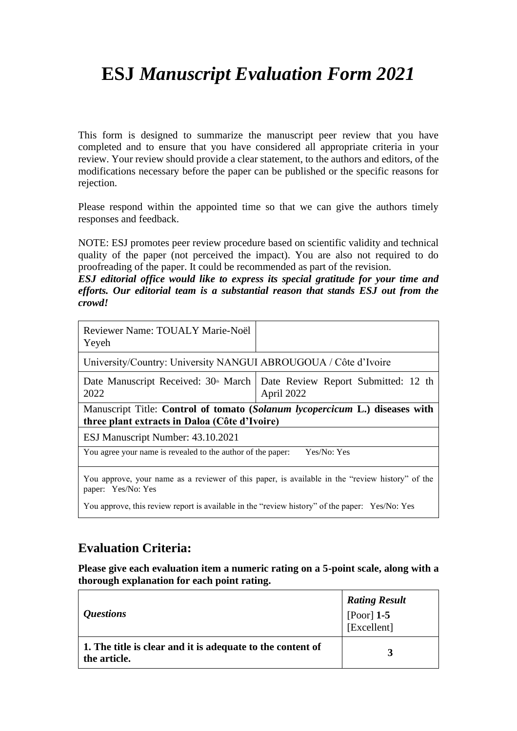# **ESJ** *Manuscript Evaluation Form 2021*

This form is designed to summarize the manuscript peer review that you have completed and to ensure that you have considered all appropriate criteria in your review. Your review should provide a clear statement, to the authors and editors, of the modifications necessary before the paper can be published or the specific reasons for rejection.

Please respond within the appointed time so that we can give the authors timely responses and feedback.

NOTE: ESJ promotes peer review procedure based on scientific validity and technical quality of the paper (not perceived the impact). You are also not required to do proofreading of the paper. It could be recommended as part of the revision.

*ESJ editorial office would like to express its special gratitude for your time and efforts. Our editorial team is a substantial reason that stands ESJ out from the crowd!*

| Reviewer Name: TOUALY Marie-Noël<br>Yeyeh                                                                                    |                                                                                                  |  |
|------------------------------------------------------------------------------------------------------------------------------|--------------------------------------------------------------------------------------------------|--|
| University/Country: University NANGUI ABROUGOUA / Côte d'Ivoire                                                              |                                                                                                  |  |
| 2022                                                                                                                         | Date Manuscript Received: $30^{\circ}$ March   Date Review Report Submitted: 12 th<br>April 2022 |  |
| Manuscript Title: Control of tomato (Solanum lycopercicum L.) diseases with<br>three plant extracts in Daloa (Côte d'Ivoire) |                                                                                                  |  |
| ESJ Manuscript Number: 43.10.2021                                                                                            |                                                                                                  |  |
| You agree your name is revealed to the author of the paper:                                                                  | Yes/No: Yes                                                                                      |  |
| paper: Yes/No: Yes                                                                                                           | You approve, your name as a reviewer of this paper, is available in the "review history" of the  |  |
| You approve, this review report is available in the "review history" of the paper: Yes/No: Yes                               |                                                                                                  |  |

### **Evaluation Criteria:**

**Please give each evaluation item a numeric rating on a 5-point scale, along with a thorough explanation for each point rating.**

| <i><b>Questions</b></i>                                                    | <b>Rating Result</b><br>[Poor] 1-5<br>[Excellent] |
|----------------------------------------------------------------------------|---------------------------------------------------|
| 1. The title is clear and it is adequate to the content of<br>the article. | $\mathbf{z}$                                      |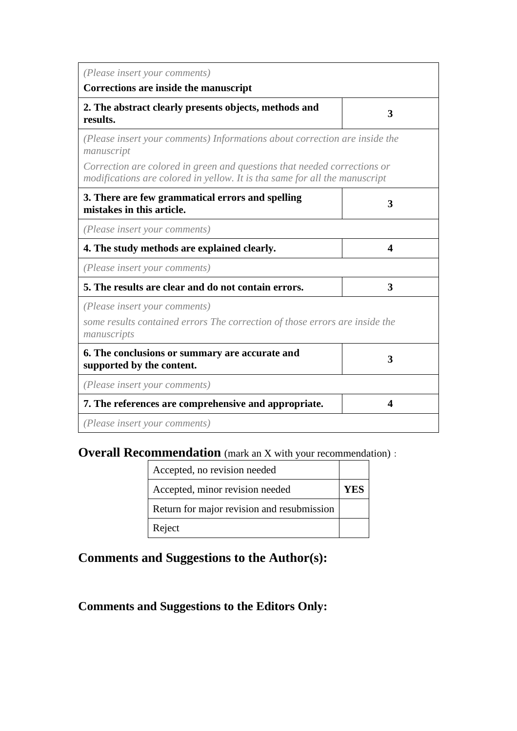| (Please insert your comments)<br>Corrections are inside the manuscript                                                                                 |   |
|--------------------------------------------------------------------------------------------------------------------------------------------------------|---|
| 2. The abstract clearly presents objects, methods and<br>results.                                                                                      | 3 |
| (Please insert your comments) Informations about correction are inside the<br>manuscript                                                               |   |
| Correction are colored in green and questions that needed corrections or<br>modifications are colored in yellow. It is tha same for all the manuscript |   |
| 3. There are few grammatical errors and spelling<br>mistakes in this article.                                                                          | 3 |
| (Please insert your comments)                                                                                                                          |   |
| 4. The study methods are explained clearly.                                                                                                            | 4 |
| (Please insert your comments)                                                                                                                          |   |
| 5. The results are clear and do not contain errors.                                                                                                    | 3 |
| (Please insert your comments)<br>some results contained errors The correction of those errors are inside the<br>manuscripts                            |   |
| 6. The conclusions or summary are accurate and<br>supported by the content.                                                                            | 3 |
| (Please insert your comments)                                                                                                                          |   |
| 7. The references are comprehensive and appropriate.                                                                                                   | 4 |
| (Please insert your comments)                                                                                                                          |   |

**Overall Recommendation** (mark an X with your recommendation):

| Accepted, no revision needed               |      |
|--------------------------------------------|------|
| Accepted, minor revision needed            | Y EN |
| Return for major revision and resubmission |      |
| Reject                                     |      |

**Comments and Suggestions to the Author(s):**

**Comments and Suggestions to the Editors Only:**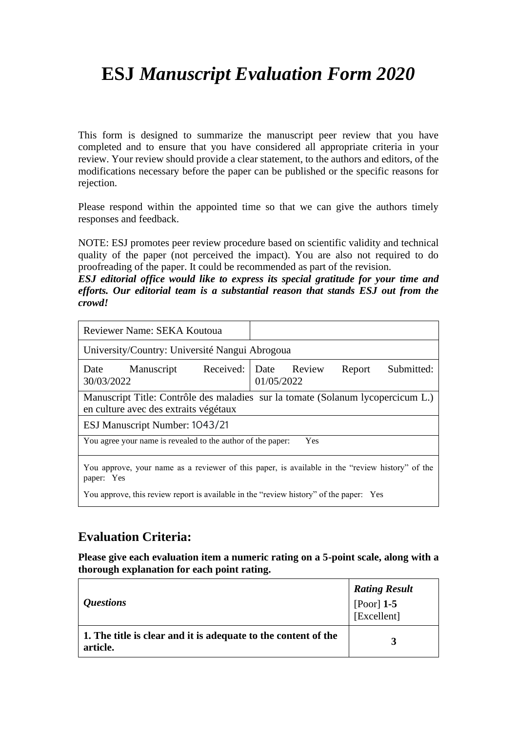# **ESJ** *Manuscript Evaluation Form 2020*

This form is designed to summarize the manuscript peer review that you have completed and to ensure that you have considered all appropriate criteria in your review. Your review should provide a clear statement, to the authors and editors, of the modifications necessary before the paper can be published or the specific reasons for rejection.

Please respond within the appointed time so that we can give the authors timely responses and feedback.

NOTE: ESJ promotes peer review procedure based on scientific validity and technical quality of the paper (not perceived the impact). You are also not required to do proofreading of the paper. It could be recommended as part of the revision.

*ESJ editorial office would like to express its special gratitude for your time and efforts. Our editorial team is a substantial reason that stands ESJ out from the crowd!*

| <b>Reviewer Name: SEKA Koutoua</b>                                                     |                                                                                                 |  |
|----------------------------------------------------------------------------------------|-------------------------------------------------------------------------------------------------|--|
| University/Country: Université Nangui Abrogoua                                         |                                                                                                 |  |
| Date<br>Manuscript<br>30/03/2022                                                       | Received: Date Review<br>Submitted:<br>Report<br>01/05/2022                                     |  |
| en culture avec des extraits végétaux                                                  | Manuscript Title: Contrôle des maladies sur la tomate (Solanum lycopercicum L.)                 |  |
| ESJ Manuscript Number: 1043/21                                                         |                                                                                                 |  |
| You agree your name is revealed to the author of the paper:<br>Yes                     |                                                                                                 |  |
| paper: Yes                                                                             | You approve, your name as a reviewer of this paper, is available in the "review history" of the |  |
| You approve, this review report is available in the "review history" of the paper: Yes |                                                                                                 |  |

### **Evaluation Criteria:**

**Please give each evaluation item a numeric rating on a 5-point scale, along with a thorough explanation for each point rating.**

| <i><b>Questions</b></i>                                                    | <b>Rating Result</b><br>[Poor] 1-5<br>[Excellent] |
|----------------------------------------------------------------------------|---------------------------------------------------|
| 1. The title is clear and it is adequate to the content of the<br>article. | 3                                                 |